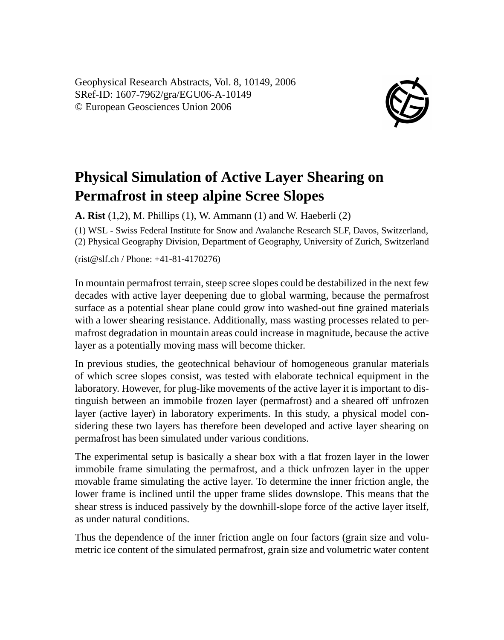Geophysical Research Abstracts, Vol. 8, 10149, 2006 SRef-ID: 1607-7962/gra/EGU06-A-10149 © European Geosciences Union 2006



## **Physical Simulation of Active Layer Shearing on Permafrost in steep alpine Scree Slopes**

**A. Rist** (1,2), M. Phillips (1), W. Ammann (1) and W. Haeberli (2)

(1) WSL - Swiss Federal Institute for Snow and Avalanche Research SLF, Davos, Switzerland, (2) Physical Geography Division, Department of Geography, University of Zurich, Switzerland

(rist@slf.ch / Phone: +41-81-4170276)

In mountain permafrost terrain, steep scree slopes could be destabilized in the next few decades with active layer deepening due to global warming, because the permafrost surface as a potential shear plane could grow into washed-out fine grained materials with a lower shearing resistance. Additionally, mass wasting processes related to permafrost degradation in mountain areas could increase in magnitude, because the active layer as a potentially moving mass will become thicker.

In previous studies, the geotechnical behaviour of homogeneous granular materials of which scree slopes consist, was tested with elaborate technical equipment in the laboratory. However, for plug-like movements of the active layer it is important to distinguish between an immobile frozen layer (permafrost) and a sheared off unfrozen layer (active layer) in laboratory experiments. In this study, a physical model considering these two layers has therefore been developed and active layer shearing on permafrost has been simulated under various conditions.

The experimental setup is basically a shear box with a flat frozen layer in the lower immobile frame simulating the permafrost, and a thick unfrozen layer in the upper movable frame simulating the active layer. To determine the inner friction angle, the lower frame is inclined until the upper frame slides downslope. This means that the shear stress is induced passively by the downhill-slope force of the active layer itself, as under natural conditions.

Thus the dependence of the inner friction angle on four factors (grain size and volumetric ice content of the simulated permafrost, grain size and volumetric water content